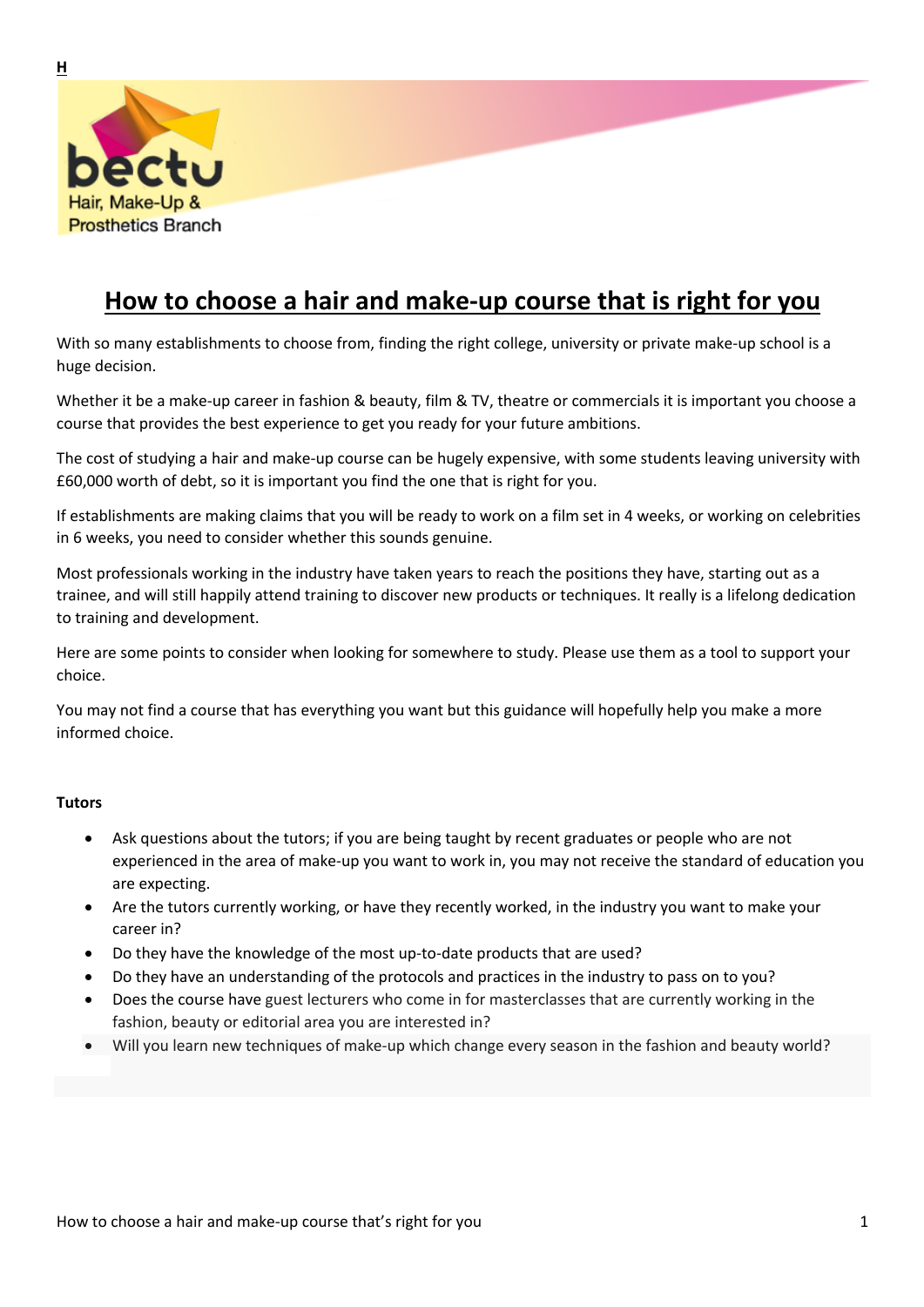

# **How to choose a hair and make-up course that is right for you**

With so many establishments to choose from, finding the right college, university or private make-up school is a huge decision.

Whether it be a make-up career in fashion & beauty, film & TV, theatre or commercials it is important you choose a course that provides the best experience to get you ready for your future ambitions.

The cost of studying a hair and make-up course can be hugely expensive, with some students leaving university with £60,000 worth of debt, so it is important you find the one that is right for you.

If establishments are making claims that you will be ready to work on a film set in 4 weeks, or working on celebrities in 6 weeks, you need to consider whether this sounds genuine.

Most professionals working in the industry have taken years to reach the positions they have, starting out as a trainee, and will still happily attend training to discover new products or techniques. It really is a lifelong dedication to training and development.

Here are some points to consider when looking for somewhere to study. Please use them as a tool to support your choice.

You may not find a course that has everything you want but this guidance will hopefully help you make a more informed choice.

#### **Tutors**

- Ask questions about the tutors; if you are being taught by recent graduates or people who are not experienced in the area of make-up you want to work in, you may not receive the standard of education you are expecting.
- Are the tutors currently working, or have they recently worked, in the industry you want to make your career in?
- Do they have the knowledge of the most up-to-date products that are used?
- Do they have an understanding of the protocols and practices in the industry to pass on to you?
- Does the course have guest lecturers who come in for masterclasses that are currently working in the fashion, beauty or editorial area you are interested in?
- Will you learn new techniques of make-up which change every season in the fashion and beauty world?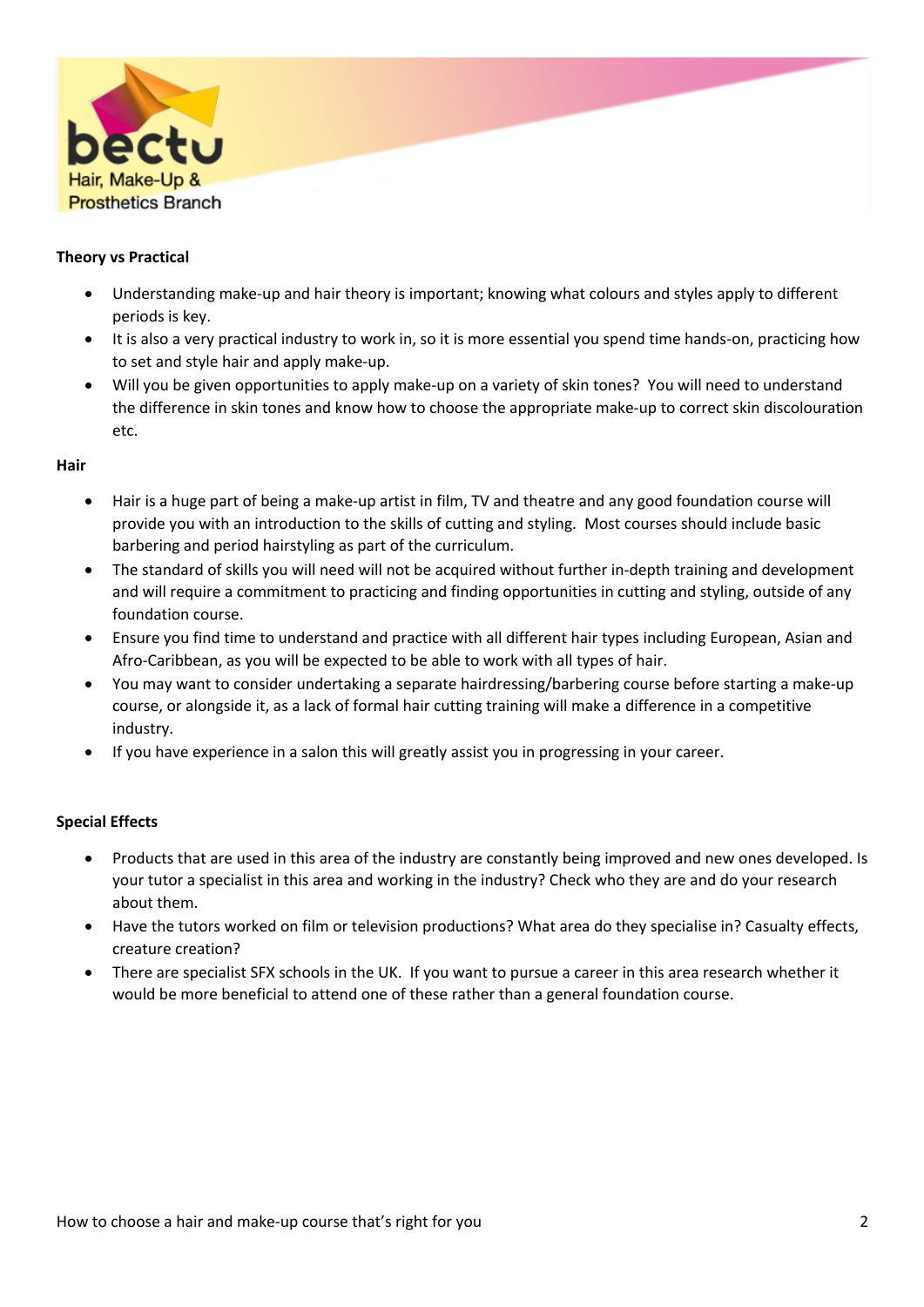

# **Theory vs Practical**

- Understanding make-up and hair theory is important; knowing what colours and styles apply to different periods is key.
- It is also a very practical industry to work in, so it is more essential you spend time hands-on, practicing how to set and style hair and apply make-up.
- Will you be given opportunities to apply make-up on a variety of skin tones? You will need to understand the difference in skin tones and know how to choose the appropriate make-up to correct skin discolouration etc.

## **Hair**

- Hair is a huge part of being a make-up artist in film, TV and theatre and any good foundation course will provide you with an introduction to the skills of cutting and styling. Most courses should include basic barbering and period hairstyling as part of the curriculum.
- The standard of skills you will need will not be acquired without further in-depth training and development and will require a commitment to practicing and finding opportunities in cutting and styling, outside of any foundation course.
- Ensure you find time to understand and practice with all different hair types including European, Asian and Afro-Caribbean, as you will be expected to be able to work with all types of hair.
- You may want to consider undertaking a separate hairdressing/barbering course before starting a make-up course, or alongside it, as a lack of formal hair cutting training will make a difference in a competitive industry.
- If you have experience in a salon this will greatly assist you in progressing in your career.

# **Special Effects**

- Products that are used in this area of the industry are constantly being improved and new ones developed. Is your tutor a specialist in this area and working in the industry? Check who they are and do your research about them.
- Have the tutors worked on film or television productions? What area do they specialise in? Casualty effects, creature creation?
- There are specialist SFX schools in the UK. If you want to pursue a career in this area research whether it would be more beneficial to attend one of these rather than a general foundation course.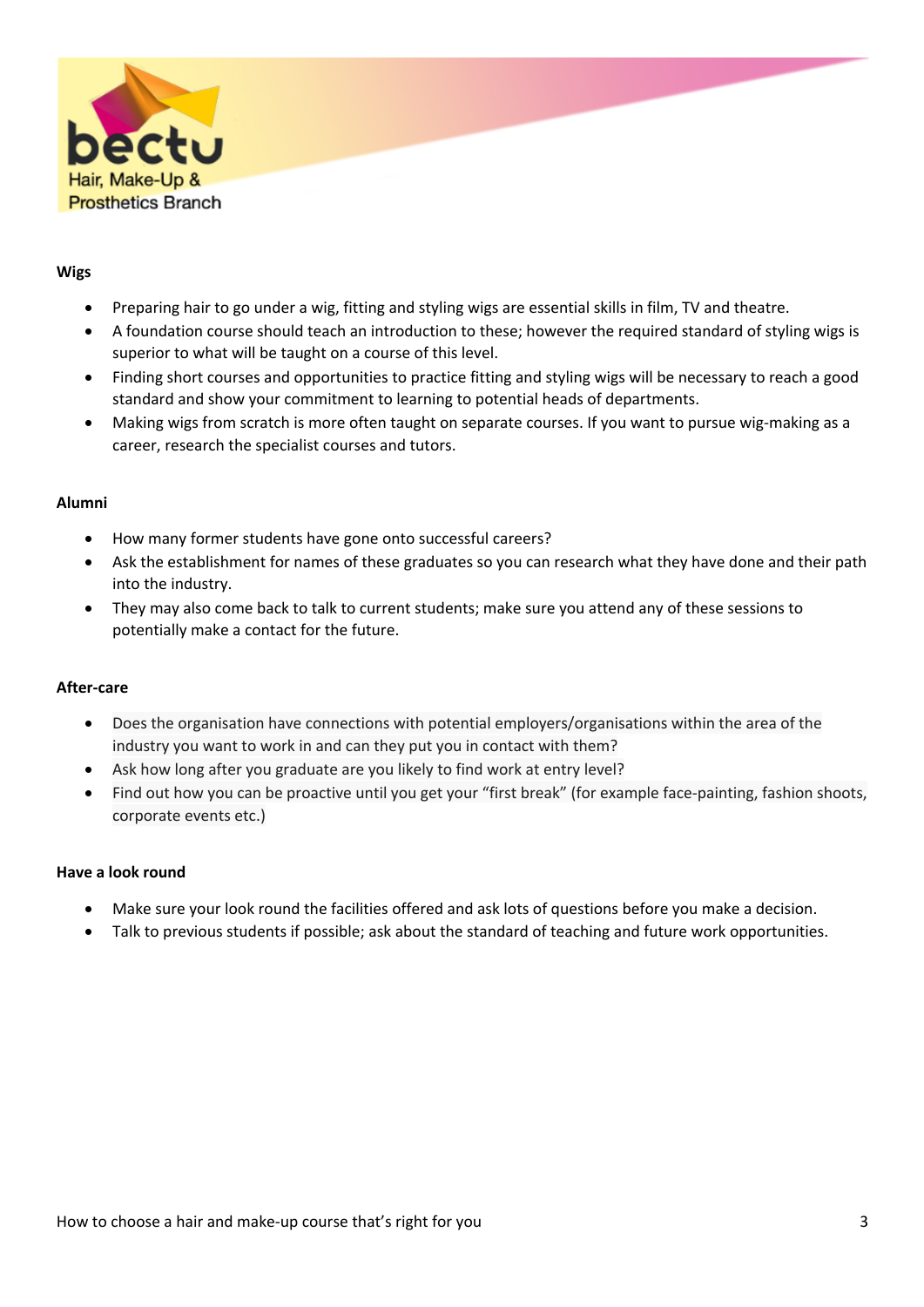

### **Wigs**

- Preparing hair to go under a wig, fitting and styling wigs are essential skills in film, TV and theatre.
- A foundation course should teach an introduction to these; however the required standard of styling wigs is superior to what will be taught on a course of this level.
- Finding short courses and opportunities to practice fitting and styling wigs will be necessary to reach a good standard and show your commitment to learning to potential heads of departments.
- Making wigs from scratch is more often taught on separate courses. If you want to pursue wig-making as a career, research the specialist courses and tutors.

## **Alumni**

- How many former students have gone onto successful careers?
- Ask the establishment for names of these graduates so you can research what they have done and their path into the industry.
- They may also come back to talk to current students; make sure you attend any of these sessions to potentially make a contact for the future.

#### **After-care**

- Does the organisation have connections with potential employers/organisations within the area of the industry you want to work in and can they put you in contact with them?
- Ask how long after you graduate are you likely to find work at entry level?
- Find out how you can be proactive until you get your "first break" (for example face-painting, fashion shoots, corporate events etc.)

#### **Have a look round**

- Make sure your look round the facilities offered and ask lots of questions before you make a decision.
- Talk to previous students if possible; ask about the standard of teaching and future work opportunities.